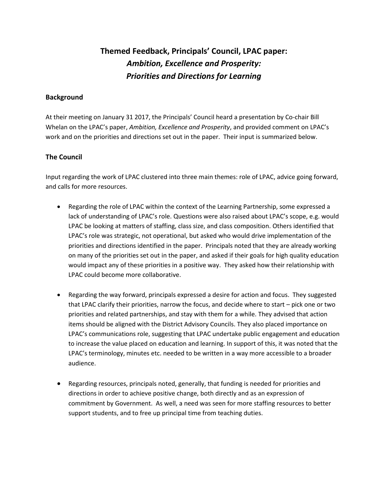# **Themed Feedback, Principals' Council, LPAC paper:**  *Ambition, Excellence and Prosperity: Priorities and Directions for Learning*

#### **Background**

At their meeting on January 31 2017, the Principals' Council heard a presentation by Co-chair Bill Whelan on the LPAC's paper, *Ambition, Excellence and Prosperity*, and provided comment on LPAC's work and on the priorities and directions set out in the paper. Their input is summarized below.

# **The Council**

Input regarding the work of LPAC clustered into three main themes: role of LPAC, advice going forward, and calls for more resources.

- Regarding the role of LPAC within the context of the Learning Partnership, some expressed a lack of understanding of LPAC's role. Questions were also raised about LPAC's scope, e.g. would LPAC be looking at matters of staffing, class size, and class composition. Others identified that LPAC's role was strategic, not operational, but asked who would drive implementation of the priorities and directions identified in the paper. Principals noted that they are already working on many of the priorities set out in the paper, and asked if their goals for high quality education would impact any of these priorities in a positive way. They asked how their relationship with LPAC could become more collaborative.
- Regarding the way forward, principals expressed a desire for action and focus. They suggested that LPAC clarify their priorities, narrow the focus, and decide where to start – pick one or two priorities and related partnerships, and stay with them for a while. They advised that action items should be aligned with the District Advisory Councils. They also placed importance on LPAC's communications role, suggesting that LPAC undertake public engagement and education to increase the value placed on education and learning. In support of this, it was noted that the LPAC's terminology, minutes etc. needed to be written in a way more accessible to a broader audience.
- Regarding resources, principals noted, generally, that funding is needed for priorities and directions in order to achieve positive change, both directly and as an expression of commitment by Government. As well, a need was seen for more staffing resources to better support students, and to free up principal time from teaching duties.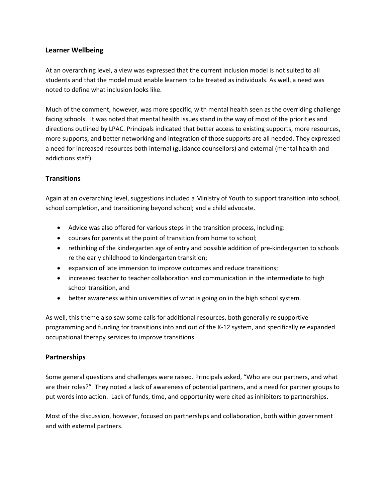#### **Learner Wellbeing**

At an overarching level, a view was expressed that the current inclusion model is not suited to all students and that the model must enable learners to be treated as individuals. As well, a need was noted to define what inclusion looks like.

Much of the comment, however, was more specific, with mental health seen as the overriding challenge facing schools. It was noted that mental health issues stand in the way of most of the priorities and directions outlined by LPAC. Principals indicated that better access to existing supports, more resources, more supports, and better networking and integration of those supports are all needed. They expressed a need for increased resources both internal (guidance counsellors) and external (mental health and addictions staff).

## **Transitions**

Again at an overarching level, suggestions included a Ministry of Youth to support transition into school, school completion, and transitioning beyond school; and a child advocate.

- Advice was also offered for various steps in the transition process, including:
- courses for parents at the point of transition from home to school;
- rethinking of the kindergarten age of entry and possible addition of pre-kindergarten to schools re the early childhood to kindergarten transition;
- expansion of late immersion to improve outcomes and reduce transitions;
- increased teacher to teacher collaboration and communication in the intermediate to high school transition, and
- better awareness within universities of what is going on in the high school system.

As well, this theme also saw some calls for additional resources, both generally re supportive programming and funding for transitions into and out of the K-12 system, and specifically re expanded occupational therapy services to improve transitions.

## **Partnerships**

Some general questions and challenges were raised. Principals asked, "Who are our partners, and what are their roles?" They noted a lack of awareness of potential partners, and a need for partner groups to put words into action. Lack of funds, time, and opportunity were cited as inhibitors to partnerships.

Most of the discussion, however, focused on partnerships and collaboration, both within government and with external partners.